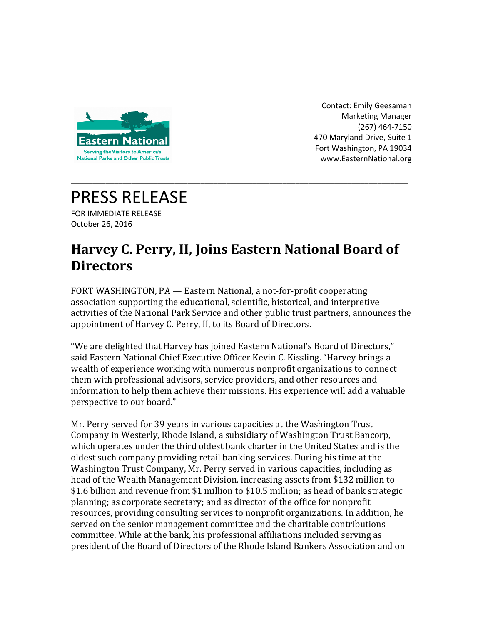

Contact: Emily Geesaman Marketing Manager (267) 464-7150 470 Maryland Drive, Suite 1 Fort Washington, PA 19034 www.EasternNational.org

## PRESS RELEASE

FOR IMMEDIATE RELEASE October 26, 2016

## **Harvey C. Perry, II, Joins Eastern National Board of Directors**

\_\_\_\_\_\_\_\_\_\_\_\_\_\_\_\_\_\_\_\_\_\_\_\_\_\_\_\_\_\_\_\_\_\_\_\_\_\_\_\_\_\_\_\_\_\_\_\_\_\_\_\_\_\_\_\_\_\_\_\_\_\_\_\_\_\_\_\_\_\_\_\_\_\_\_\_\_\_

FORT WASHINGTON, PA — Eastern National, a not-for-profit cooperating association supporting the educational, scientific, historical, and interpretive activities of the National Park Service and other public trust partners, announces the appointment of Harvey C. Perry, II, to its Board of Directors.

"We are delighted that Harvey has joined Eastern National's Board of Directors," said Eastern National Chief Executive Officer Kevin C. Kissling. "Harvey brings a wealth of experience working with numerous nonprofit organizations to connect them with professional advisors, service providers, and other resources and information to help them achieve their missions. His experience will add a valuable perspective to our board."

Mr. Perry served for 39 years in various capacities at the Washington Trust Company in Westerly, Rhode Island, a subsidiary of Washington Trust Bancorp, which operates under the third oldest bank charter in the United States and is the oldest such company providing retail banking services. During his time at the Washington Trust Company, Mr. Perry served in various capacities, including as head of the Wealth Management Division, increasing assets from \$132 million to \$1.6 billion and revenue from \$1 million to \$10.5 million; as head of bank strategic planning; as corporate secretary; and as director of the office for nonprofit resources, providing consulting services to nonprofit organizations. In addition, he served on the senior management committee and the charitable contributions committee. While at the bank, his professional affiliations included serving as president of the Board of Directors of the Rhode Island Bankers Association and on